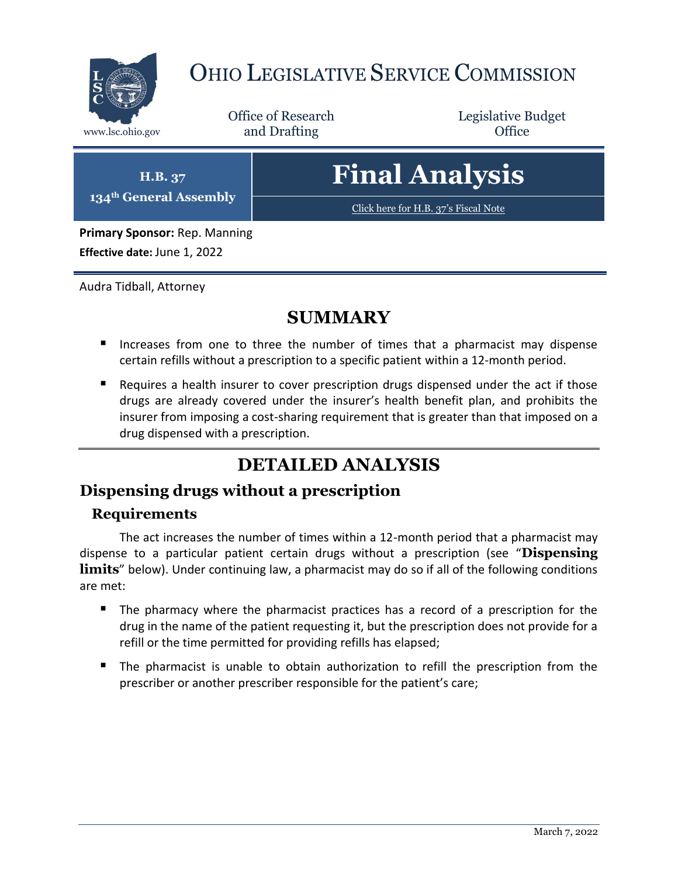

## OHIO LEGISLATIVE SERVICE COMMISSION

Office of Research www.lsc.ohio.gov **and Drafting Office** 

Legislative Budget

**H.B. 37 134th General Assembly**

# **Final Analysis**

[Click here for H.B. 37](https://www.legislature.ohio.gov/legislation/legislation-documents?id=GA134-HB-37)'s Fiscal Note

**Primary Sponsor:** Rep. Manning **Effective date:** June 1, 2022

Audra Tidball, Attorney

### **SUMMARY**

- Increases from one to three the number of times that a pharmacist may dispense certain refills without a prescription to a specific patient within a 12-month period.
- Requires a health insurer to cover prescription drugs dispensed under the act if those drugs are already covered under the insurer's health benefit plan, and prohibits the insurer from imposing a cost-sharing requirement that is greater than that imposed on a drug dispensed with a prescription.

## **DETAILED ANALYSIS**

#### **Dispensing drugs without a prescription**

#### **Requirements**

The act increases the number of times within a 12-month period that a pharmacist may dispense to a particular patient certain drugs without a prescription (see "**Dispensing limits**" below). Under continuing law, a pharmacist may do so if all of the following conditions are met:

- The pharmacy where the pharmacist practices has a record of a prescription for the drug in the name of the patient requesting it, but the prescription does not provide for a refill or the time permitted for providing refills has elapsed;
- The pharmacist is unable to obtain authorization to refill the prescription from the prescriber or another prescriber responsible for the patient's care;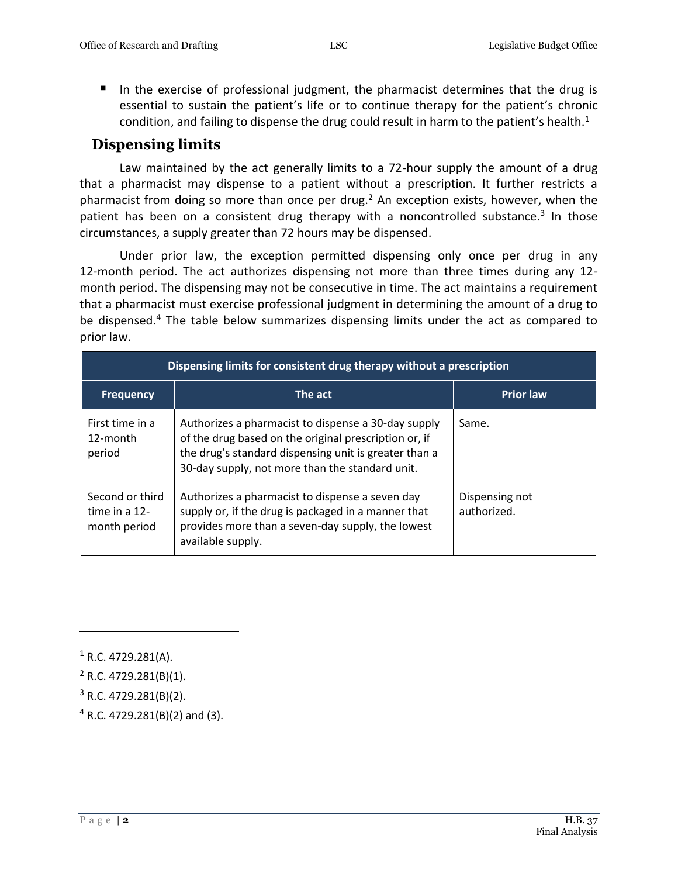In the exercise of professional judgment, the pharmacist determines that the drug is essential to sustain the patient's life or to continue therapy for the patient's chronic condition, and failing to dispense the drug could result in harm to the patient's health. $1$ 

#### **Dispensing limits**

Law maintained by the act generally limits to a 72-hour supply the amount of a drug that a pharmacist may dispense to a patient without a prescription. It further restricts a pharmacist from doing so more than once per drug.<sup>2</sup> An exception exists, however, when the patient has been on a consistent drug therapy with a noncontrolled substance.<sup>3</sup> In those circumstances, a supply greater than 72 hours may be dispensed.

Under prior law, the exception permitted dispensing only once per drug in any 12-month period. The act authorizes dispensing not more than three times during any 12 month period. The dispensing may not be consecutive in time. The act maintains a requirement that a pharmacist must exercise professional judgment in determining the amount of a drug to be dispensed.<sup>4</sup> The table below summarizes dispensing limits under the act as compared to prior law.

| Dispensing limits for consistent drug therapy without a prescription |                                                                                                                                                                                                                          |                               |  |
|----------------------------------------------------------------------|--------------------------------------------------------------------------------------------------------------------------------------------------------------------------------------------------------------------------|-------------------------------|--|
| <b>Frequency</b>                                                     | The act                                                                                                                                                                                                                  | <b>Prior law</b>              |  |
| First time in a<br>12-month<br>period                                | Authorizes a pharmacist to dispense a 30-day supply<br>of the drug based on the original prescription or, if<br>the drug's standard dispensing unit is greater than a<br>30-day supply, not more than the standard unit. | Same.                         |  |
| Second or third<br>time in a 12-<br>month period                     | Authorizes a pharmacist to dispense a seven day<br>supply or, if the drug is packaged in a manner that<br>provides more than a seven-day supply, the lowest<br>available supply.                                         | Dispensing not<br>authorized. |  |

 $\overline{a}$ 

- $3$  R.C. 4729.281(B)(2).
- <sup>4</sup> R.C. 4729.281(B)(2) and (3).

 $1$  R.C. 4729.281(A).

<sup>2</sup> R.C. 4729.281(B)(1).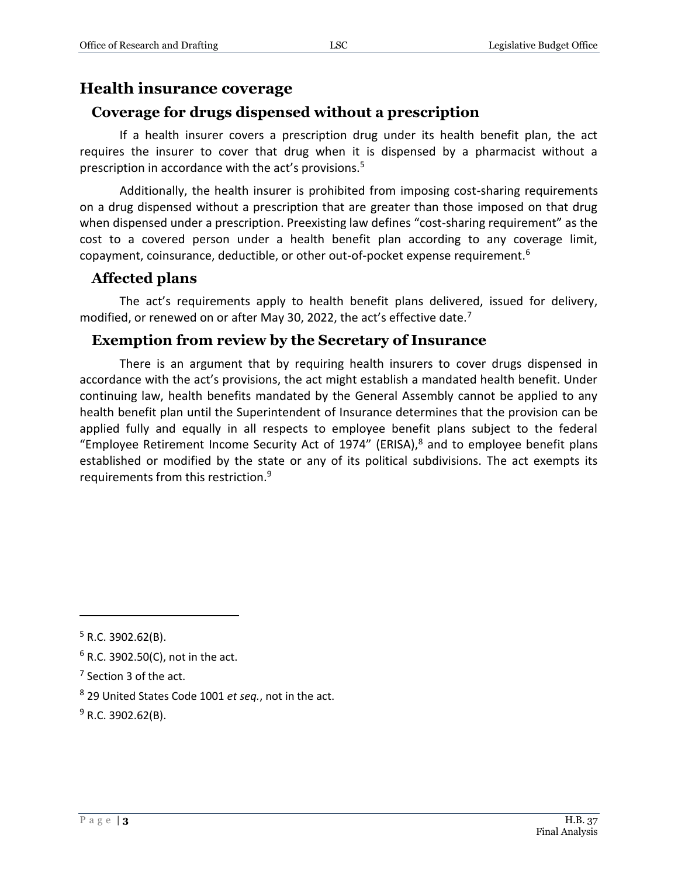#### **Health insurance coverage**

#### **Coverage for drugs dispensed without a prescription**

If a health insurer covers a prescription drug under its health benefit plan, the act requires the insurer to cover that drug when it is dispensed by a pharmacist without a prescription in accordance with the act's provisions.<sup>5</sup>

Additionally, the health insurer is prohibited from imposing cost-sharing requirements on a drug dispensed without a prescription that are greater than those imposed on that drug when dispensed under a prescription. Preexisting law defines "cost-sharing requirement" as the cost to a covered person under a health benefit plan according to any coverage limit, copayment, coinsurance, deductible, or other out-of-pocket expense requirement.<sup>6</sup>

#### **Affected plans**

The act's requirements apply to health benefit plans delivered, issued for delivery, modified, or renewed on or after May 30, 2022, the act's effective date.<sup>7</sup>

#### **Exemption from review by the Secretary of Insurance**

There is an argument that by requiring health insurers to cover drugs dispensed in accordance with the act's provisions, the act might establish a mandated health benefit. Under continuing law, health benefits mandated by the General Assembly cannot be applied to any health benefit plan until the Superintendent of Insurance determines that the provision can be applied fully and equally in all respects to employee benefit plans subject to the federal "Employee Retirement Income Security Act of 1974" (ERISA), $8$  and to employee benefit plans established or modified by the state or any of its political subdivisions. The act exempts its requirements from this restriction.<sup>9</sup>

 $\overline{a}$ 

 $5$  R.C. 3902.62(B).

 $6$  R.C. 3902.50(C), not in the act.

<sup>&</sup>lt;sup>7</sup> Section 3 of the act.

<sup>8</sup> 29 United States Code 1001 *et seq.*, not in the act.

 $9$  R.C. 3902.62(B).